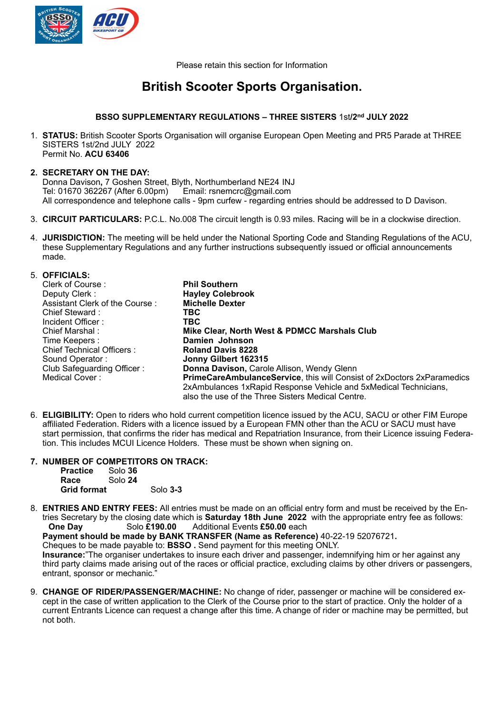

Please retain this section for Information

# **British Scooter Sports Organisation.**

## **BSSO SUPPLEMENTARY REGULATIONS – THREE SISTERS** 1st**/2nd JULY 2022**

1. **STATUS:** British Scooter Sports Organisation will organise European Open Meeting and PR5 Parade at THREE SISTERS 1st/2nd JULY 2022 Permit No. **ACU 63406**

## **2. SECRETARY ON THE DAY:**

Donna Davison, 7 Goshen Street, Blyth, Northumberland NE24 INJ<br>Tel: 01670 362267 (After 6.00pm) Email: rsnemcrc@gmail.com Tel: 01670 362267 (After 6.00pm) All correspondence and telephone calls - 9pm curfew - regarding entries should be addressed to D Davison.

- 3. **CIRCUIT PARTICULARS:** P.C.L. No.008 The circuit length is 0.93 miles. Racing will be in a clockwise direction.
- 4. **JURISDICTION:** The meeting will be held under the National Sporting Code and Standing Regulations of the ACU, these Supplementary Regulations and any further instructions subsequently issued or official announcements made.

| 5. OFFICIALS:                  |                                                                               |
|--------------------------------|-------------------------------------------------------------------------------|
| Clerk of Course:               | <b>Phil Southern</b>                                                          |
| Deputy Clerk:                  | <b>Hayley Colebrook</b>                                                       |
| Assistant Clerk of the Course: | <b>Michelle Dexter</b>                                                        |
| Chief Steward:                 | TBC                                                                           |
| Incident Officer:              | TBC                                                                           |
| Chief Marshal:                 | Mike Clear, North West & PDMCC Marshals Club                                  |
| Time Keepers :                 | Damien Johnson                                                                |
| Chief Technical Officers:      | <b>Roland Davis 8228</b>                                                      |
| Sound Operator:                | Jonny Gilbert 162315                                                          |
| Club Safeguarding Officer:     | <b>Donna Davison, Carole Allison, Wendy Glenn</b>                             |
| Medical Cover:                 | <b>PrimeCareAmbulanceService, this will Consist of 2xDoctors 2xParamedics</b> |
|                                | 2xAmbulances 1xRapid Response Vehicle and 5xMedical Technicians,              |
|                                | also the use of the Three Sisters Medical Centre.                             |

- 6. **ELIGIBILITY:** Open to riders who hold current competition licence issued by the ACU, SACU or other FIM Europe affiliated Federation. Riders with a licence issued by a European FMN other than the ACU or SACU must have start permission, that confirms the rider has medical and Repatriation Insurance, from their Licence issuing Federation. This includes MCUI Licence Holders. These must be shown when signing on.
- **7. NUMBER OF COMPETITORS ON TRACK: Practice Race** Solo **24 Grid format** Solo 3-3
- 8. **ENTRIES AND ENTRY FEES:** All entries must be made on an official entry form and must be received by the Entries Secretary by the closing date which is **Saturday 18th June 2022** with the appropriate entry fee as follows:<br>One Dav Solo £190.00 Additional Events £50.00 each **One Day** Solo **£190.00** Additional Events **£50.00** each

**Payment should be made by BANK TRANSFER (Name as Reference)** 40-22-19 52076721**.**

Cheques to be made payable to: **BSSO .** Send payment for this meeting ONLY.

**Insurance:**"The organiser undertakes to insure each driver and passenger, indemnifying him or her against any third party claims made arising out of the races or official practice, excluding claims by other drivers or passengers, entrant, sponsor or mechanic.<sup>7</sup>

9. **CHANGE OF RIDER/PASSENGER/MACHINE:** No change of rider, passenger or machine will be considered except in the case of written application to the Clerk of the Course prior to the start of practice. Only the holder of a current Entrants Licence can request a change after this time. A change of rider or machine may be permitted, but not both.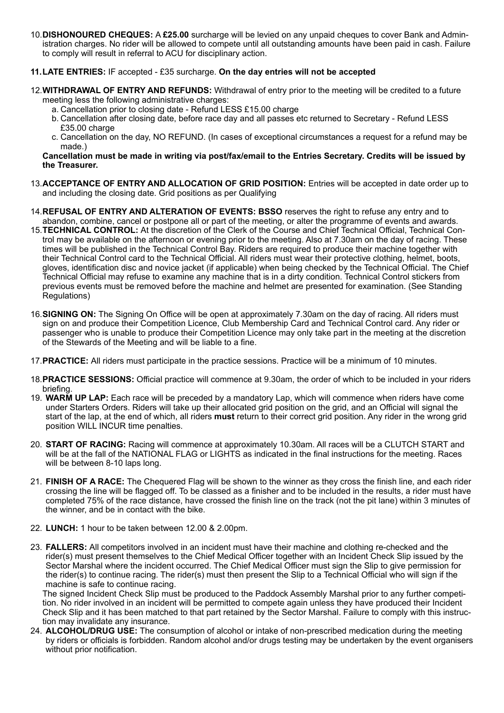10.**DISHONOURED CHEQUES:** A **£25.00** surcharge will be levied on any unpaid cheques to cover Bank and Administration charges. No rider will be allowed to compete until all outstanding amounts have been paid in cash. Failure to comply will result in referral to ACU for disciplinary action.

## **11.LATE ENTRIES:** IF accepted - £35 surcharge. **On the day entries will not be accepted**

- 12.**WITHDRAWAL OF ENTRY AND REFUNDS:** Withdrawal of entry prior to the meeting will be credited to a future meeting less the following administrative charges:
	- a. Cancellation prior to closing date Refund LESS £15.00 charge
	- b. Cancellation after closing date, before race day and all passes etc returned to Secretary Refund LESS £35.00 charge
	- c. Cancellation on the day, NO REFUND. (In cases of exceptional circumstances a request for a refund may be made.)

## **Cancellation must be made in writing via post/fax/email to the Entries Secretary. Credits will be issued by the Treasurer.**

- 13.**ACCEPTANCE OF ENTRY AND ALLOCATION OF GRID POSITION:** Entries will be accepted in date order up to and including the closing date. Grid positions as per Qualifying
- 14.**REFUSAL OF ENTRY AND ALTERATION OF EVENTS: BSSO** reserves the right to refuse any entry and to abandon, combine, cancel or postpone all or part of the meeting, or alter the programme of events and awards.
- 15.**TECHNICAL CONTROL:** At the discretion of the Clerk of the Course and Chief Technical Official, Technical Control may be available on the afternoon or evening prior to the meeting. Also at 7.30am on the day of racing. These times will be published in the Technical Control Bay. Riders are required to produce their machine together with their Technical Control card to the Technical Official. All riders must wear their protective clothing, helmet, boots, gloves, identification disc and novice jacket (if applicable) when being checked by the Technical Official. The Chief Technical Official may refuse to examine any machine that is in a dirty condition. Technical Control stickers from previous events must be removed before the machine and helmet are presented for examination. (See Standing Regulations)
- 16.**SIGNING ON:** The Signing On Office will be open at approximately 7.30am on the day of racing. All riders must sign on and produce their Competition Licence, Club Membership Card and Technical Control card. Any rider or passenger who is unable to produce their Competition Licence may only take part in the meeting at the discretion of the Stewards of the Meeting and will be liable to a fine.
- 17.**PRACTICE:** All riders must participate in the practice sessions. Practice will be a minimum of 10 minutes.
- 18.**PRACTICE SESSIONS:** Official practice will commence at 9.30am, the order of which to be included in your riders briefing.
- 19. **WARM UP LAP:** Each race will be preceded by a mandatory Lap, which will commence when riders have come under Starters Orders. Riders will take up their allocated grid position on the grid, and an Official will signal the start of the lap, at the end of which, all riders **must** return to their correct grid position. Any rider in the wrong grid position WILL INCUR time penalties.
- 20. **START OF RACING:** Racing will commence at approximately 10.30am. All races will be a CLUTCH START and will be at the fall of the NATIONAL FLAG or LIGHTS as indicated in the final instructions for the meeting. Races will be between 8-10 laps long.
- 21. **FINISH OF A RACE:** The Chequered Flag will be shown to the winner as they cross the finish line, and each rider crossing the line will be flagged off. To be classed as a finisher and to be included in the results, a rider must have completed 75% of the race distance, have crossed the finish line on the track (not the pit lane) within 3 minutes of the winner, and be in contact with the bike.
- 22. **LUNCH:** 1 hour to be taken between 12.00 & 2.00pm.
- 23. **FALLERS:** All competitors involved in an incident must have their machine and clothing re-checked and the rider(s) must present themselves to the Chief Medical Officer together with an Incident Check Slip issued by the Sector Marshal where the incident occurred. The Chief Medical Officer must sign the Slip to give permission for the rider(s) to continue racing. The rider(s) must then present the Slip to a Technical Official who will sign if the machine is safe to continue racing.

The signed Incident Check Slip must be produced to the Paddock Assembly Marshal prior to any further competition. No rider involved in an incident will be permitted to compete again unless they have produced their Incident Check Slip and it has been matched to that part retained by the Sector Marshal. Failure to comply with this instruction may invalidate any insurance.

24. **ALCOHOL/DRUG USE:** The consumption of alcohol or intake of non-prescribed medication during the meeting by riders or officials is forbidden. Random alcohol and/or drugs testing may be undertaken by the event organisers without prior notification.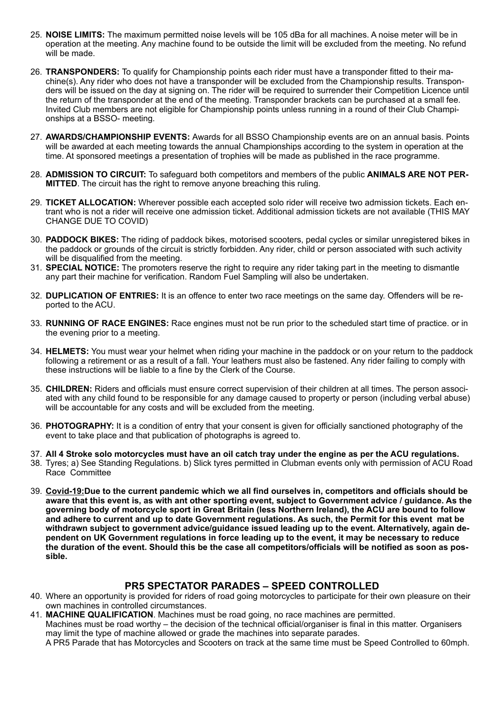- 25. **NOISE LIMITS:** The maximum permitted noise levels will be 105 dBa for all machines. A noise meter will be in operation at the meeting. Any machine found to be outside the limit will be excluded from the meeting. No refund will be made.
- 26. **TRANSPONDERS:** To qualify for Championship points each rider must have a transponder fitted to their machine(s). Any rider who does not have a transponder will be excluded from the Championship results. Transponders will be issued on the day at signing on. The rider will be required to surrender their Competition Licence until the return of the transponder at the end of the meeting. Transponder brackets can be purchased at a small fee. Invited Club members are not eligible for Championship points unless running in a round of their Club Championships at a BSSO- meeting.
- 27. **AWARDS/CHAMPIONSHIP EVENTS:** Awards for all BSSO Championship events are on an annual basis. Points will be awarded at each meeting towards the annual Championships according to the system in operation at the time. At sponsored meetings a presentation of trophies will be made as published in the race programme.
- 28. **ADMISSION TO CIRCUIT:** To safeguard both competitors and members of the public **ANIMALS ARE NOT PER-MITTED**. The circuit has the right to remove anyone breaching this ruling.
- 29. **TICKET ALLOCATION:** Wherever possible each accepted solo rider will receive two admission tickets. Each entrant who is not a rider will receive one admission ticket. Additional admission tickets are not available (THIS MAY CHANGE DUE TO COVID)
- 30. **PADDOCK BIKES:** The riding of paddock bikes, motorised scooters, pedal cycles or similar unregistered bikes in the paddock or grounds of the circuit is strictly forbidden. Any rider, child or person associated with such activity will be disqualified from the meeting.
- 31. **SPECIAL NOTICE:** The promoters reserve the right to require any rider taking part in the meeting to dismantle any part their machine for verification. Random Fuel Sampling will also be undertaken.
- 32. **DUPLICATION OF ENTRIES:** It is an offence to enter two race meetings on the same day. Offenders will be reported to the ACU.
- 33. **RUNNING OF RACE ENGINES:** Race engines must not be run prior to the scheduled start time of practice. or in the evening prior to a meeting.
- 34. **HELMETS:** You must wear your helmet when riding your machine in the paddock or on your return to the paddock following a retirement or as a result of a fall. Your leathers must also be fastened. Any rider failing to comply with these instructions will be liable to a fine by the Clerk of the Course.
- 35. **CHILDREN:** Riders and officials must ensure correct supervision of their children at all times. The person associated with any child found to be responsible for any damage caused to property or person (including verbal abuse) will be accountable for any costs and will be excluded from the meeting.
- 36. **PHOTOGRAPHY:** It is a condition of entry that your consent is given for officially sanctioned photography of the event to take place and that publication of photographs is agreed to.
- 37. **All 4 Stroke solo motorcycles must have an oil catch tray under the engine as per the ACU regulations.**
- 38. Tyres; a) See Standing Regulations. b) Slick tyres permitted in Clubman events only with permission of ACU Road Race Committee
- 39. **Covid-19:Due to the current pandemic which we all find ourselves in, competitors and officials should be aware that this event is, as with ant other sporting event, subject to Government advice / guidance. As the governing body of motorcycle sport in Great Britain (less Northern Ireland), the ACU are bound to follow and adhere to current and up to date Government regulations. As such, the Permit for this event mat be withdrawn subject to government advice/guidance issued leading up to the event. Alternatively, again dependent on UK Government regulations in force leading up to the event, it may be necessary to reduce the duration of the event. Should this be the case all competitors/officials will be notified as soon as possible.**

## **PR5 SPECTATOR PARADES – SPEED CONTROLLED**

- 40. Where an opportunity is provided for riders of road going motorcycles to participate for their own pleasure on their own machines in controlled circumstances.
- 41. **MACHINE QUALIFICATION**. Machines must be road going, no race machines are permitted. Machines must be road worthy – the decision of the technical official/organiser is final in this matter. Organisers may limit the type of machine allowed or grade the machines into separate parades. A PR5 Parade that has Motorcycles and Scooters on track at the same time must be Speed Controlled to 60mph.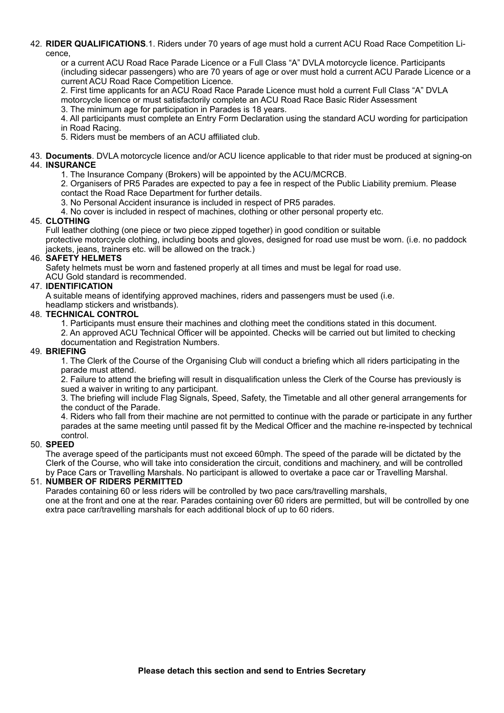42. **RIDER QUALIFICATIONS**.1. Riders under 70 years of age must hold a current ACU Road Race Competition Licence,

or a current ACU Road Race Parade Licence or a Full Class "A" DVLA motorcycle licence. Participants (including sidecar passengers) who are 70 years of age or over must hold a current ACU Parade Licence or a current ACU Road Race Competition Licence.

2. First time applicants for an ACU Road Race Parade Licence must hold a current Full Class "A" DVLA motorcycle licence or must satisfactorily complete an ACU Road Race Basic Rider Assessment

3. The minimum age for participation in Parades is 18 years.

4. All participants must complete an Entry Form Declaration using the standard ACU wording for participation in Road Racing.

5. Riders must be members of an ACU affiliated club.

- 43. **Documents**. DVLA motorcycle licence and/or ACU licence applicable to that rider must be produced at signing-on 44. **INSURANCE**
	- 1. The Insurance Company (Brokers) will be appointed by the ACU/MCRCB.

2. Organisers of PR5 Parades are expected to pay a fee in respect of the Public Liability premium. Please contact the Road Race Department for further details.

- 3. No Personal Accident insurance is included in respect of PR5 parades.
- 4. No cover is included in respect of machines, clothing or other personal property etc.

## 45. **CLOTHING**

Full leather clothing (one piece or two piece zipped together) in good condition or suitable protective motorcycle clothing, including boots and gloves, designed for road use must be worn. (i.e. no paddock jackets, jeans, trainers etc. will be allowed on the track.)

## 46. **SAFETY HELMETS**

Safety helmets must be worn and fastened properly at all times and must be legal for road use. ACU Gold standard is recommended.

## 47. **IDENTIFICATION**

A suitable means of identifying approved machines, riders and passengers must be used (i.e.

headlamp stickers and wristbands).

## 48. **TECHNICAL CONTROL**

- 1. Participants must ensure their machines and clothing meet the conditions stated in this document.
- 2. An approved ACU Technical Officer will be appointed. Checks will be carried out but limited to checking documentation and Registration Numbers.

## 49. **BRIEFING**

1. The Clerk of the Course of the Organising Club will conduct a briefing which all riders participating in the parade must attend.

2. Failure to attend the briefing will result in disqualification unless the Clerk of the Course has previously is sued a waiver in writing to any participant.

3. The briefing will include Flag Signals, Speed, Safety, the Timetable and all other general arrangements for the conduct of the Parade.

4. Riders who fall from their machine are not permitted to continue with the parade or participate in any further parades at the same meeting until passed fit by the Medical Officer and the machine re-inspected by technical control.

## 50. **SPEED**

The average speed of the participants must not exceed 60mph. The speed of the parade will be dictated by the Clerk of the Course, who will take into consideration the circuit, conditions and machinery, and will be controlled by Pace Cars or Travelling Marshals. No participant is allowed to overtake a pace car or Travelling Marshal.

## 51. **NUMBER OF RIDERS PERMITTED**

Parades containing 60 or less riders will be controlled by two pace cars/travelling marshals, one at the front and one at the rear. Parades containing over 60 riders are permitted, but will be controlled by one extra pace car/travelling marshals for each additional block of up to 60 riders.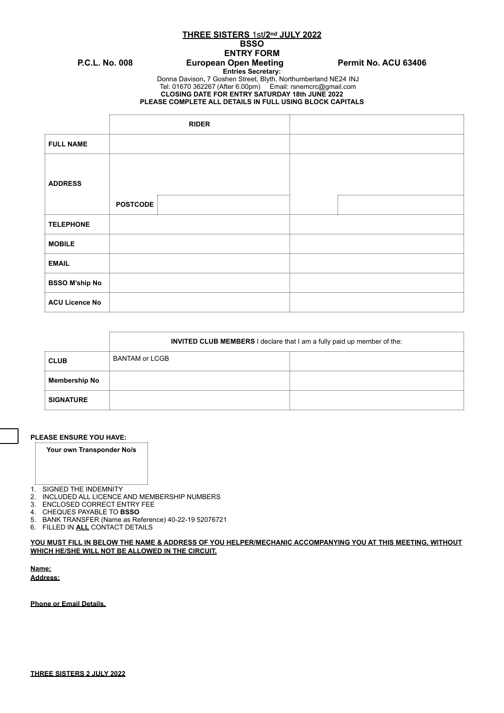**THREE SISTERS** 1st**/2nd JULY 2022**

# **BSSO**

## **ENTRY FORM** P.C.L. No. 008 **European Open Meeting Permit No. ACU 63406**

**Entries Secretary:** 

Donna Davison**,** 7 Goshen Street, Blyth, Northumberland NE24 INJ Tel: 01670 362267 (After 6.00pm) Email: [rsnemcrc@gmail.com](mailto:rsnemcrc@gmail.com)

**CLOSING DATE FOR ENTRY SATURDAY 18th JUNE 2022**

**PLEASE COMPLETE ALL DETAILS IN FULL USING BLOCK CAPITALS**

|                       |                 | <b>RIDER</b> |  |  |
|-----------------------|-----------------|--------------|--|--|
| <b>FULL NAME</b>      |                 |              |  |  |
| <b>ADDRESS</b>        |                 |              |  |  |
|                       | <b>POSTCODE</b> |              |  |  |
| <b>TELEPHONE</b>      |                 |              |  |  |
| <b>MOBILE</b>         |                 |              |  |  |
| <b>EMAIL</b>          |                 |              |  |  |
| <b>BSSO M'ship No</b> |                 |              |  |  |
| <b>ACU Licence No</b> |                 |              |  |  |

|                      | <b>INVITED CLUB MEMBERS I</b> declare that I am a fully paid up member of the: |  |  |
|----------------------|--------------------------------------------------------------------------------|--|--|
| <b>CLUB</b>          | <b>BANTAM or LCGB</b>                                                          |  |  |
| <b>Membership No</b> |                                                                                |  |  |
| <b>SIGNATURE</b>     |                                                                                |  |  |

### **PLEASE ENSURE YOU HAVE:**

## **Your own Transponder No/s**

- 1. SIGNED THE INDEMNITY
- 2. INCLUDED ALL LICENCE AND MEMBERSHIP NUMBERS<br>3. ENCLOSED CORRECT ENTRY FEE
- **ENCLOSED CORRECT ENTRY FEE**
- 4. CHEQUES PAYABLE TO **BSSO**
- 5. BANK TRANSFER (Name as Reference) 40-22-19 52076721
- 6. FILLED IN **ALL** CONTACT DETAILS

## **YOU MUST FILL IN BELOW THE NAME & ADDRESS OF YOU HELPER/MECHANIC ACCOMPANYING YOU AT THIS MEETING, WITHOUT WHICH HE/SHE WILL NOT BE ALLOWED IN THE CIRCUIT.**

**Name; Address;**

**Phone or Email Details.**